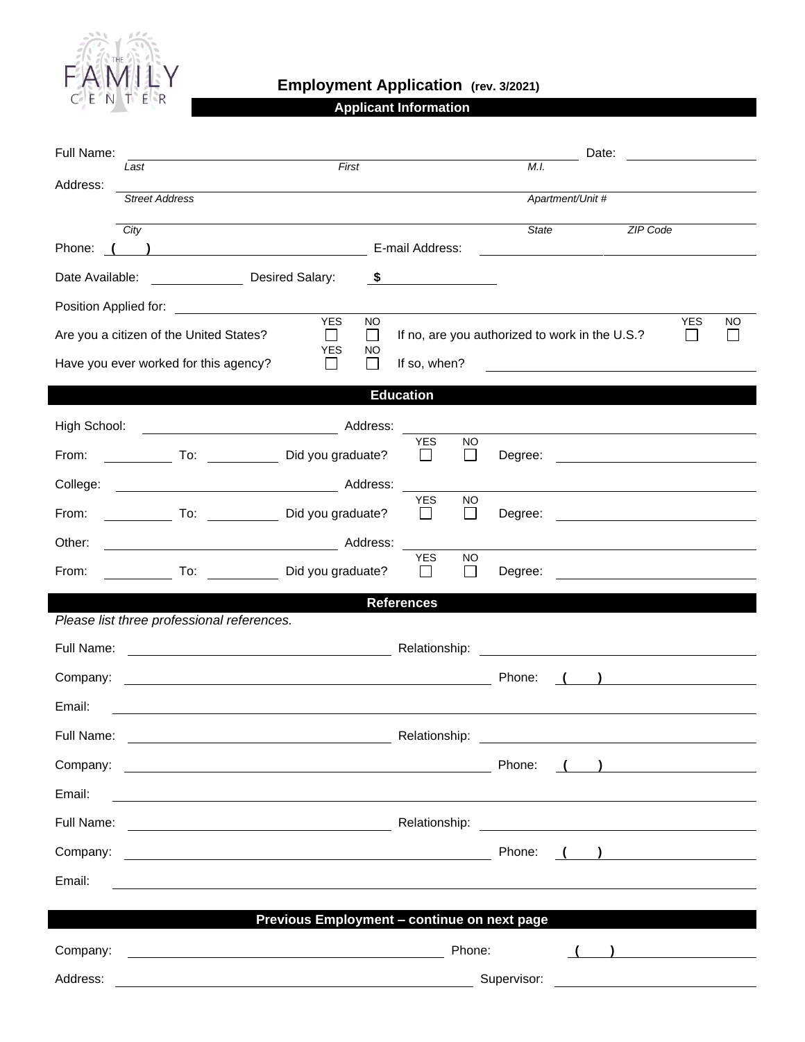

## **Employment Application (rev. 3/2021)**

**Applicant Information**

| Last<br>Address:<br><b>Street Address</b><br>Apartment/Unit #<br>City<br>State<br>ZIP Code<br>E-mail Address:<br>Phone:<br>Date Available: <u>[19] Desired Salary:</u><br>\$<br>Position Applied for: Note that the position of the state of the state of the state of the state of the state o<br><b>YES</b><br>NO.<br><b>YES</b><br>NO<br>If no, are you authorized to work in the U.S.?<br>Are you a citizen of the United States?<br>П<br>$\Box$<br>$\mathbf{I}$<br><b>YES</b><br>NO<br>Have you ever worked for this agency?<br>If so, when?<br>$\mathbf{I}$<br>$\mathsf{L}$<br><b>Education</b><br>High School:<br>YES<br>NO.<br>Did you graduate?<br>From:<br>$\perp$<br>$\mathbf{I}$<br>Degree:<br><u> 1980 - Andrea Station Barbara, amerikan personal (h. 1980).</u><br>College:<br><b>YES</b><br><b>NO</b><br>To: Did you graduate?<br>From:<br>$\perp$<br>$\mathsf{L}$<br>Degree:<br><u> 1980 - Jan Samuel Barbara, politik eta politik eta politik eta politik eta politik eta politik eta politik e</u><br>Other:<br><b>YES</b><br><b>NO</b><br>From:<br>To: Did you graduate?<br>$\perp$<br>Degree:<br>$\perp$<br>the control of the control of the control of the control of the control of the control of the control of the control of the control of the control of the control of the control of the control of the control of the control<br><b>References</b><br>Please list three professional references.<br>Full Name:<br><u> 1980 - Johann Barbara, martxa alemaniar a</u><br>Company:<br>Phone:<br><u> 1980 - Johann Barn, mars ann an t-Amhain Aonaich an t-Aonaich an t-Aonaich ann an t-Aonaich ann an t-Aonaich</u><br>Email:<br>Full Name:<br>Relationship:<br><u> 1989 - Johann Barn, mars ann an t-Amhair an t-Amhair an t-Amhair an t-Amhair an t-Amhair an t-Amhair an t-Amh</u><br>$\begin{pmatrix} 1 & 1 \end{pmatrix}$<br>Email:<br><u> 1989 - Johann Stoff, amerikansk politiker (d. 1989)</u><br>$\left(\begin{array}{c}1\end{array}\right)$<br>Email:<br><u> 1989 - Johann Stoff, amerikansk politiker (d. 1989)</u><br>Previous Employment - continue on next page<br>$\left(\begin{array}{c} \begin{array}{c} \end{array}\\ \end{array}\right)$<br>Address:<br><u>Supervisor: Electronic Contract Contract Contract Contract Contract Contract Contract Contract Contract Contract Contract Contract Contract Contract Contract Contract Contract Contract Contract Contract Contract Contract </u> | Full Name: |       |  |  | Date: |  |  |  |  |  |
|-------------------------------------------------------------------------------------------------------------------------------------------------------------------------------------------------------------------------------------------------------------------------------------------------------------------------------------------------------------------------------------------------------------------------------------------------------------------------------------------------------------------------------------------------------------------------------------------------------------------------------------------------------------------------------------------------------------------------------------------------------------------------------------------------------------------------------------------------------------------------------------------------------------------------------------------------------------------------------------------------------------------------------------------------------------------------------------------------------------------------------------------------------------------------------------------------------------------------------------------------------------------------------------------------------------------------------------------------------------------------------------------------------------------------------------------------------------------------------------------------------------------------------------------------------------------------------------------------------------------------------------------------------------------------------------------------------------------------------------------------------------------------------------------------------------------------------------------------------------------------------------------------------------------------------------------------------------------------------------------------------------------------------------------------------------------------------------------------------------------------------------------------------------------------------------------------------------------------------------------------------------------------------------------------------------------------------------------------------------------------------------------------------------------------------------------------|------------|-------|--|--|-------|--|--|--|--|--|
|                                                                                                                                                                                                                                                                                                                                                                                                                                                                                                                                                                                                                                                                                                                                                                                                                                                                                                                                                                                                                                                                                                                                                                                                                                                                                                                                                                                                                                                                                                                                                                                                                                                                                                                                                                                                                                                                                                                                                                                                                                                                                                                                                                                                                                                                                                                                                                                                                                                 |            | First |  |  | M.I.  |  |  |  |  |  |
|                                                                                                                                                                                                                                                                                                                                                                                                                                                                                                                                                                                                                                                                                                                                                                                                                                                                                                                                                                                                                                                                                                                                                                                                                                                                                                                                                                                                                                                                                                                                                                                                                                                                                                                                                                                                                                                                                                                                                                                                                                                                                                                                                                                                                                                                                                                                                                                                                                                 |            |       |  |  |       |  |  |  |  |  |
|                                                                                                                                                                                                                                                                                                                                                                                                                                                                                                                                                                                                                                                                                                                                                                                                                                                                                                                                                                                                                                                                                                                                                                                                                                                                                                                                                                                                                                                                                                                                                                                                                                                                                                                                                                                                                                                                                                                                                                                                                                                                                                                                                                                                                                                                                                                                                                                                                                                 |            |       |  |  |       |  |  |  |  |  |
|                                                                                                                                                                                                                                                                                                                                                                                                                                                                                                                                                                                                                                                                                                                                                                                                                                                                                                                                                                                                                                                                                                                                                                                                                                                                                                                                                                                                                                                                                                                                                                                                                                                                                                                                                                                                                                                                                                                                                                                                                                                                                                                                                                                                                                                                                                                                                                                                                                                 |            |       |  |  |       |  |  |  |  |  |
|                                                                                                                                                                                                                                                                                                                                                                                                                                                                                                                                                                                                                                                                                                                                                                                                                                                                                                                                                                                                                                                                                                                                                                                                                                                                                                                                                                                                                                                                                                                                                                                                                                                                                                                                                                                                                                                                                                                                                                                                                                                                                                                                                                                                                                                                                                                                                                                                                                                 |            |       |  |  |       |  |  |  |  |  |
|                                                                                                                                                                                                                                                                                                                                                                                                                                                                                                                                                                                                                                                                                                                                                                                                                                                                                                                                                                                                                                                                                                                                                                                                                                                                                                                                                                                                                                                                                                                                                                                                                                                                                                                                                                                                                                                                                                                                                                                                                                                                                                                                                                                                                                                                                                                                                                                                                                                 |            |       |  |  |       |  |  |  |  |  |
|                                                                                                                                                                                                                                                                                                                                                                                                                                                                                                                                                                                                                                                                                                                                                                                                                                                                                                                                                                                                                                                                                                                                                                                                                                                                                                                                                                                                                                                                                                                                                                                                                                                                                                                                                                                                                                                                                                                                                                                                                                                                                                                                                                                                                                                                                                                                                                                                                                                 |            |       |  |  |       |  |  |  |  |  |
|                                                                                                                                                                                                                                                                                                                                                                                                                                                                                                                                                                                                                                                                                                                                                                                                                                                                                                                                                                                                                                                                                                                                                                                                                                                                                                                                                                                                                                                                                                                                                                                                                                                                                                                                                                                                                                                                                                                                                                                                                                                                                                                                                                                                                                                                                                                                                                                                                                                 |            |       |  |  |       |  |  |  |  |  |
|                                                                                                                                                                                                                                                                                                                                                                                                                                                                                                                                                                                                                                                                                                                                                                                                                                                                                                                                                                                                                                                                                                                                                                                                                                                                                                                                                                                                                                                                                                                                                                                                                                                                                                                                                                                                                                                                                                                                                                                                                                                                                                                                                                                                                                                                                                                                                                                                                                                 |            |       |  |  |       |  |  |  |  |  |
|                                                                                                                                                                                                                                                                                                                                                                                                                                                                                                                                                                                                                                                                                                                                                                                                                                                                                                                                                                                                                                                                                                                                                                                                                                                                                                                                                                                                                                                                                                                                                                                                                                                                                                                                                                                                                                                                                                                                                                                                                                                                                                                                                                                                                                                                                                                                                                                                                                                 |            |       |  |  |       |  |  |  |  |  |
|                                                                                                                                                                                                                                                                                                                                                                                                                                                                                                                                                                                                                                                                                                                                                                                                                                                                                                                                                                                                                                                                                                                                                                                                                                                                                                                                                                                                                                                                                                                                                                                                                                                                                                                                                                                                                                                                                                                                                                                                                                                                                                                                                                                                                                                                                                                                                                                                                                                 |            |       |  |  |       |  |  |  |  |  |
|                                                                                                                                                                                                                                                                                                                                                                                                                                                                                                                                                                                                                                                                                                                                                                                                                                                                                                                                                                                                                                                                                                                                                                                                                                                                                                                                                                                                                                                                                                                                                                                                                                                                                                                                                                                                                                                                                                                                                                                                                                                                                                                                                                                                                                                                                                                                                                                                                                                 |            |       |  |  |       |  |  |  |  |  |
|                                                                                                                                                                                                                                                                                                                                                                                                                                                                                                                                                                                                                                                                                                                                                                                                                                                                                                                                                                                                                                                                                                                                                                                                                                                                                                                                                                                                                                                                                                                                                                                                                                                                                                                                                                                                                                                                                                                                                                                                                                                                                                                                                                                                                                                                                                                                                                                                                                                 |            |       |  |  |       |  |  |  |  |  |
|                                                                                                                                                                                                                                                                                                                                                                                                                                                                                                                                                                                                                                                                                                                                                                                                                                                                                                                                                                                                                                                                                                                                                                                                                                                                                                                                                                                                                                                                                                                                                                                                                                                                                                                                                                                                                                                                                                                                                                                                                                                                                                                                                                                                                                                                                                                                                                                                                                                 |            |       |  |  |       |  |  |  |  |  |
|                                                                                                                                                                                                                                                                                                                                                                                                                                                                                                                                                                                                                                                                                                                                                                                                                                                                                                                                                                                                                                                                                                                                                                                                                                                                                                                                                                                                                                                                                                                                                                                                                                                                                                                                                                                                                                                                                                                                                                                                                                                                                                                                                                                                                                                                                                                                                                                                                                                 |            |       |  |  |       |  |  |  |  |  |
|                                                                                                                                                                                                                                                                                                                                                                                                                                                                                                                                                                                                                                                                                                                                                                                                                                                                                                                                                                                                                                                                                                                                                                                                                                                                                                                                                                                                                                                                                                                                                                                                                                                                                                                                                                                                                                                                                                                                                                                                                                                                                                                                                                                                                                                                                                                                                                                                                                                 |            |       |  |  |       |  |  |  |  |  |
|                                                                                                                                                                                                                                                                                                                                                                                                                                                                                                                                                                                                                                                                                                                                                                                                                                                                                                                                                                                                                                                                                                                                                                                                                                                                                                                                                                                                                                                                                                                                                                                                                                                                                                                                                                                                                                                                                                                                                                                                                                                                                                                                                                                                                                                                                                                                                                                                                                                 |            |       |  |  |       |  |  |  |  |  |
|                                                                                                                                                                                                                                                                                                                                                                                                                                                                                                                                                                                                                                                                                                                                                                                                                                                                                                                                                                                                                                                                                                                                                                                                                                                                                                                                                                                                                                                                                                                                                                                                                                                                                                                                                                                                                                                                                                                                                                                                                                                                                                                                                                                                                                                                                                                                                                                                                                                 |            |       |  |  |       |  |  |  |  |  |
|                                                                                                                                                                                                                                                                                                                                                                                                                                                                                                                                                                                                                                                                                                                                                                                                                                                                                                                                                                                                                                                                                                                                                                                                                                                                                                                                                                                                                                                                                                                                                                                                                                                                                                                                                                                                                                                                                                                                                                                                                                                                                                                                                                                                                                                                                                                                                                                                                                                 |            |       |  |  |       |  |  |  |  |  |
|                                                                                                                                                                                                                                                                                                                                                                                                                                                                                                                                                                                                                                                                                                                                                                                                                                                                                                                                                                                                                                                                                                                                                                                                                                                                                                                                                                                                                                                                                                                                                                                                                                                                                                                                                                                                                                                                                                                                                                                                                                                                                                                                                                                                                                                                                                                                                                                                                                                 |            |       |  |  |       |  |  |  |  |  |
|                                                                                                                                                                                                                                                                                                                                                                                                                                                                                                                                                                                                                                                                                                                                                                                                                                                                                                                                                                                                                                                                                                                                                                                                                                                                                                                                                                                                                                                                                                                                                                                                                                                                                                                                                                                                                                                                                                                                                                                                                                                                                                                                                                                                                                                                                                                                                                                                                                                 |            |       |  |  |       |  |  |  |  |  |
|                                                                                                                                                                                                                                                                                                                                                                                                                                                                                                                                                                                                                                                                                                                                                                                                                                                                                                                                                                                                                                                                                                                                                                                                                                                                                                                                                                                                                                                                                                                                                                                                                                                                                                                                                                                                                                                                                                                                                                                                                                                                                                                                                                                                                                                                                                                                                                                                                                                 |            |       |  |  |       |  |  |  |  |  |
|                                                                                                                                                                                                                                                                                                                                                                                                                                                                                                                                                                                                                                                                                                                                                                                                                                                                                                                                                                                                                                                                                                                                                                                                                                                                                                                                                                                                                                                                                                                                                                                                                                                                                                                                                                                                                                                                                                                                                                                                                                                                                                                                                                                                                                                                                                                                                                                                                                                 |            |       |  |  |       |  |  |  |  |  |
|                                                                                                                                                                                                                                                                                                                                                                                                                                                                                                                                                                                                                                                                                                                                                                                                                                                                                                                                                                                                                                                                                                                                                                                                                                                                                                                                                                                                                                                                                                                                                                                                                                                                                                                                                                                                                                                                                                                                                                                                                                                                                                                                                                                                                                                                                                                                                                                                                                                 |            |       |  |  |       |  |  |  |  |  |
|                                                                                                                                                                                                                                                                                                                                                                                                                                                                                                                                                                                                                                                                                                                                                                                                                                                                                                                                                                                                                                                                                                                                                                                                                                                                                                                                                                                                                                                                                                                                                                                                                                                                                                                                                                                                                                                                                                                                                                                                                                                                                                                                                                                                                                                                                                                                                                                                                                                 |            |       |  |  |       |  |  |  |  |  |
|                                                                                                                                                                                                                                                                                                                                                                                                                                                                                                                                                                                                                                                                                                                                                                                                                                                                                                                                                                                                                                                                                                                                                                                                                                                                                                                                                                                                                                                                                                                                                                                                                                                                                                                                                                                                                                                                                                                                                                                                                                                                                                                                                                                                                                                                                                                                                                                                                                                 |            |       |  |  |       |  |  |  |  |  |
|                                                                                                                                                                                                                                                                                                                                                                                                                                                                                                                                                                                                                                                                                                                                                                                                                                                                                                                                                                                                                                                                                                                                                                                                                                                                                                                                                                                                                                                                                                                                                                                                                                                                                                                                                                                                                                                                                                                                                                                                                                                                                                                                                                                                                                                                                                                                                                                                                                                 |            |       |  |  |       |  |  |  |  |  |
|                                                                                                                                                                                                                                                                                                                                                                                                                                                                                                                                                                                                                                                                                                                                                                                                                                                                                                                                                                                                                                                                                                                                                                                                                                                                                                                                                                                                                                                                                                                                                                                                                                                                                                                                                                                                                                                                                                                                                                                                                                                                                                                                                                                                                                                                                                                                                                                                                                                 |            |       |  |  |       |  |  |  |  |  |
|                                                                                                                                                                                                                                                                                                                                                                                                                                                                                                                                                                                                                                                                                                                                                                                                                                                                                                                                                                                                                                                                                                                                                                                                                                                                                                                                                                                                                                                                                                                                                                                                                                                                                                                                                                                                                                                                                                                                                                                                                                                                                                                                                                                                                                                                                                                                                                                                                                                 |            |       |  |  |       |  |  |  |  |  |
|                                                                                                                                                                                                                                                                                                                                                                                                                                                                                                                                                                                                                                                                                                                                                                                                                                                                                                                                                                                                                                                                                                                                                                                                                                                                                                                                                                                                                                                                                                                                                                                                                                                                                                                                                                                                                                                                                                                                                                                                                                                                                                                                                                                                                                                                                                                                                                                                                                                 |            |       |  |  |       |  |  |  |  |  |